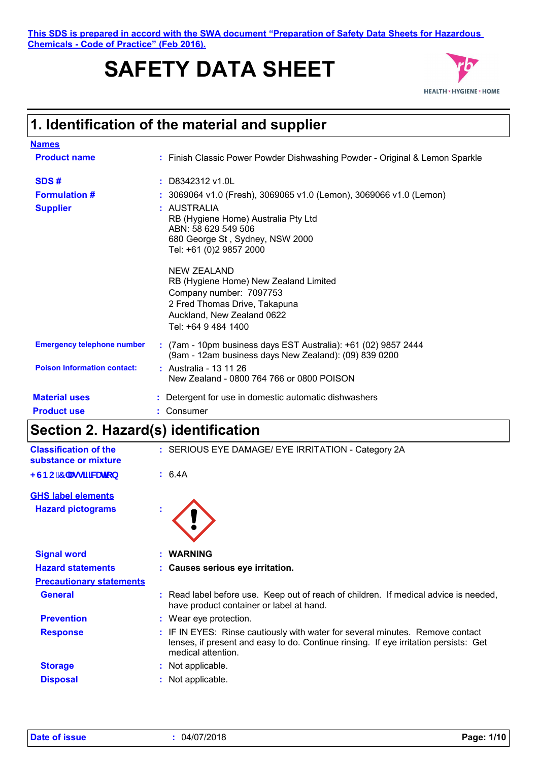**This SDS is prepared in accord with the SWA document "Preparation of Safety Data Sheets for Hazardous Chemicals - Code of Practice" (Feb 2016).**

# **SAFETY DATA SHEET**



### **1. Identification of the material and supplier**

| <b>Names</b>                       |                                                                                                                                                                              |
|------------------------------------|------------------------------------------------------------------------------------------------------------------------------------------------------------------------------|
| <b>Product name</b>                | : Finish Classic Power Powder Dishwashing Powder - Original & Lemon Sparkle                                                                                                  |
| SDS#                               | $:$ D8342312 v1.0L                                                                                                                                                           |
| <b>Formulation #</b>               | : 3069064 v1.0 (Fresh), 3069065 v1.0 (Lemon), 3069066 v1.0 (Lemon)                                                                                                           |
| <b>Supplier</b>                    | : AUSTRALIA<br>RB (Hygiene Home) Australia Pty Ltd<br>ABN: 58 629 549 506<br>680 George St, Sydney, NSW 2000<br>Tel: +61 (0)2 9857 2000                                      |
|                                    | <b>NEW ZEALAND</b><br>RB (Hygiene Home) New Zealand Limited<br>Company number: 7097753<br>2 Fred Thomas Drive, Takapuna<br>Auckland, New Zealand 0622<br>Tel: +64 9 484 1400 |
| <b>Emergency telephone number</b>  | : (7am - 10pm business days EST Australia): +61 (02) 9857 2444<br>(9am - 12am business days New Zealand): (09) 839 0200                                                      |
| <b>Poison Information contact:</b> | : Australia - 13 11 26<br>New Zealand - 0800 764 766 or 0800 POISON                                                                                                          |
| <b>Material uses</b>               | : Detergent for use in domestic automatic dishwashers                                                                                                                        |
| <b>Product use</b>                 | : Consumer                                                                                                                                                                   |

### **Section 2. Hazard(s) identification**

| <b>Classification of the</b><br>substance or mixture | : SERIOUS EYE DAMAGE/ EYE IRRITATION - Category 2A                                                                                                                                          |
|------------------------------------------------------|---------------------------------------------------------------------------------------------------------------------------------------------------------------------------------------------|
| <gbc 7="" \ugg]<b="">ZWUjcb</gbc>                    | : 6.4A                                                                                                                                                                                      |
| <b>GHS label elements</b>                            |                                                                                                                                                                                             |
| <b>Hazard pictograms</b>                             |                                                                                                                                                                                             |
| <b>Signal word</b>                                   | : WARNING                                                                                                                                                                                   |
| <b>Hazard statements</b>                             | : Causes serious eye irritation.                                                                                                                                                            |
| <b>Precautionary statements</b>                      |                                                                                                                                                                                             |
| <b>General</b>                                       | : Read label before use. Keep out of reach of children. If medical advice is needed,<br>have product container or label at hand.                                                            |
| <b>Prevention</b>                                    | : Wear eye protection.                                                                                                                                                                      |
| <b>Response</b>                                      | : IF IN EYES: Rinse cautiously with water for several minutes. Remove contact<br>lenses, if present and easy to do. Continue rinsing. If eye irritation persists: Get<br>medical attention. |
| <b>Storage</b>                                       | : Not applicable.                                                                                                                                                                           |
| <b>Disposal</b>                                      | : Not applicable.                                                                                                                                                                           |
|                                                      |                                                                                                                                                                                             |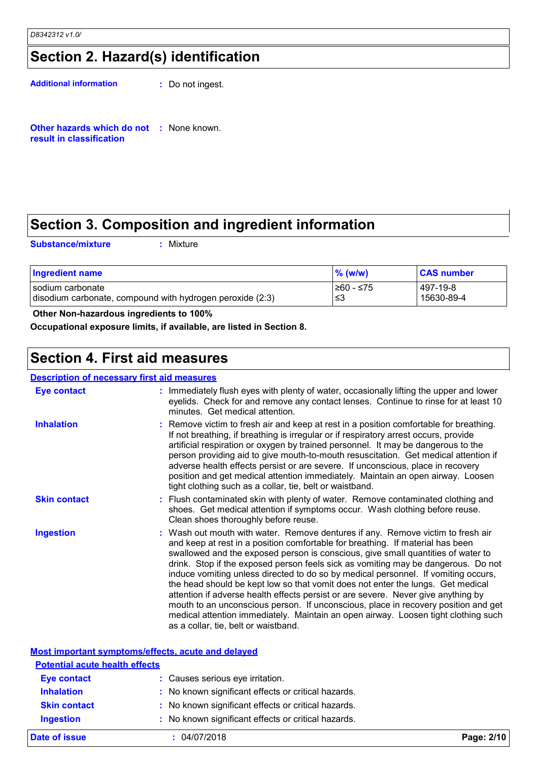### **Section 2. Hazard(s) identification**

**Additional information :** Do not ingest.

**Other hazards which do not :** None known. **result in classification**

### **Section 3. Composition and ingredient information**

**Substance/mixture :**

: Mixture

| <b>Ingredient name</b>                                    | $\%$ (w/w) | <b>CAS number</b> |
|-----------------------------------------------------------|------------|-------------------|
| I sodium carbonate                                        | 1≥60 - ≤75 | 497-19-8          |
| disodium carbonate, compound with hydrogen peroxide (2:3) | ≤3         | 15630-89-4        |

 **Other Non-hazardous ingredients to 100%**

**Occupational exposure limits, if available, are listed in Section 8.**

### **Section 4. First aid measures**

#### **Description of necessary first aid measures**

| <b>Eye contact</b>  | : Immediately flush eyes with plenty of water, occasionally lifting the upper and lower<br>eyelids. Check for and remove any contact lenses. Continue to rinse for at least 10<br>minutes. Get medical attention.                                                                                                                                                                                                                                                                                                                                                                                                                                                                                                                                                                                                            |
|---------------------|------------------------------------------------------------------------------------------------------------------------------------------------------------------------------------------------------------------------------------------------------------------------------------------------------------------------------------------------------------------------------------------------------------------------------------------------------------------------------------------------------------------------------------------------------------------------------------------------------------------------------------------------------------------------------------------------------------------------------------------------------------------------------------------------------------------------------|
| <b>Inhalation</b>   | : Remove victim to fresh air and keep at rest in a position comfortable for breathing.<br>If not breathing, if breathing is irregular or if respiratory arrest occurs, provide<br>artificial respiration or oxygen by trained personnel. It may be dangerous to the<br>person providing aid to give mouth-to-mouth resuscitation. Get medical attention if<br>adverse health effects persist or are severe. If unconscious, place in recovery<br>position and get medical attention immediately. Maintain an open airway. Loosen<br>tight clothing such as a collar, tie, belt or waistband.                                                                                                                                                                                                                                 |
| <b>Skin contact</b> | : Flush contaminated skin with plenty of water. Remove contaminated clothing and<br>shoes. Get medical attention if symptoms occur. Wash clothing before reuse.<br>Clean shoes thoroughly before reuse.                                                                                                                                                                                                                                                                                                                                                                                                                                                                                                                                                                                                                      |
| <b>Ingestion</b>    | : Wash out mouth with water. Remove dentures if any. Remove victim to fresh air<br>and keep at rest in a position comfortable for breathing. If material has been<br>swallowed and the exposed person is conscious, give small quantities of water to<br>drink. Stop if the exposed person feels sick as vomiting may be dangerous. Do not<br>induce vomiting unless directed to do so by medical personnel. If vomiting occurs,<br>the head should be kept low so that vomit does not enter the lungs. Get medical<br>attention if adverse health effects persist or are severe. Never give anything by<br>mouth to an unconscious person. If unconscious, place in recovery position and get<br>medical attention immediately. Maintain an open airway. Loosen tight clothing such<br>as a collar, tie, belt or waistband. |

| Most important symptoms/effects, acute and delayed |                                                     |            |
|----------------------------------------------------|-----------------------------------------------------|------------|
| <b>Potential acute health effects</b>              |                                                     |            |
| <b>Eye contact</b>                                 | : Causes serious eye irritation.                    |            |
| <b>Inhalation</b><br><b>Skin contact</b>           | : No known significant effects or critical hazards. |            |
|                                                    | : No known significant effects or critical hazards. |            |
| <b>Ingestion</b>                                   | : No known significant effects or critical hazards. |            |
| Date of issue                                      | : 04/07/2018                                        | Page: 2/10 |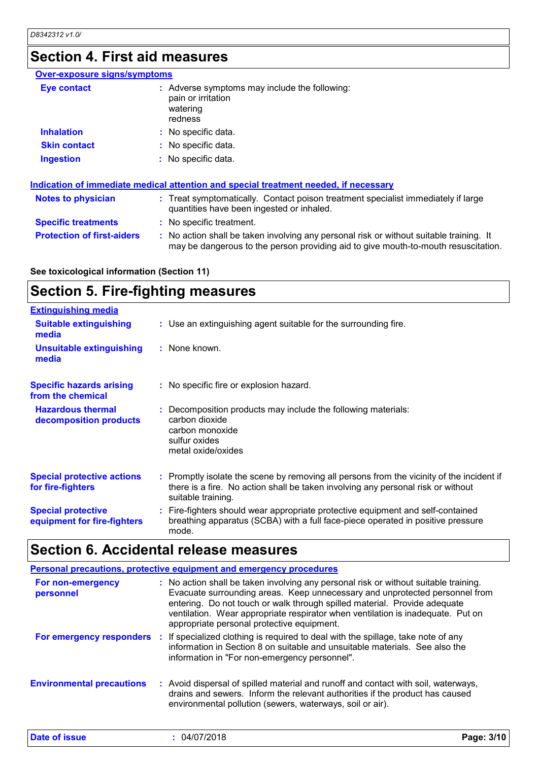### **Section 4. First aid measures**

| <b>Over-exposure signs/symptoms</b> |                                                                                                                                                                               |
|-------------------------------------|-------------------------------------------------------------------------------------------------------------------------------------------------------------------------------|
| <b>Eye contact</b>                  | : Adverse symptoms may include the following:<br>pain or irritation<br>watering<br>redness                                                                                    |
| <b>Inhalation</b>                   | : No specific data.                                                                                                                                                           |
| <b>Skin contact</b>                 | : No specific data.                                                                                                                                                           |
| <b>Ingestion</b>                    | : No specific data.                                                                                                                                                           |
|                                     | Indication of immediate medical attention and special treatment needed, if necessary                                                                                          |
| <b>Notes to physician</b>           | : Treat symptomatically. Contact poison treatment specialist immediately if large<br>quantities have been ingested or inhaled.                                                |
| <b>Specific treatments</b>          | : No specific treatment.                                                                                                                                                      |
| <b>Protection of first-aiders</b>   | : No action shall be taken involving any personal risk or without suitable training. It<br>may be dangerous to the person providing aid to give mouth-to-mouth resuscitation. |

**See toxicological information (Section 11)**

### **Section 5. Fire-fighting measures**

| <b>Extinguishing media</b>                               |                                                                                                                                                                                                     |
|----------------------------------------------------------|-----------------------------------------------------------------------------------------------------------------------------------------------------------------------------------------------------|
| <b>Suitable extinguishing</b><br>media                   | : Use an extinguishing agent suitable for the surrounding fire.                                                                                                                                     |
| <b>Unsuitable extinguishing</b><br>media                 | : None known.                                                                                                                                                                                       |
| <b>Specific hazards arising</b><br>from the chemical     | : No specific fire or explosion hazard.                                                                                                                                                             |
| <b>Hazardous thermal</b><br>decomposition products       | : Decomposition products may include the following materials:<br>carbon dioxide<br>carbon monoxide<br>sulfur oxides<br>metal oxide/oxides                                                           |
| <b>Special protective actions</b><br>for fire-fighters   | : Promptly isolate the scene by removing all persons from the vicinity of the incident if<br>there is a fire. No action shall be taken involving any personal risk or without<br>suitable training. |
| <b>Special protective</b><br>equipment for fire-fighters | : Fire-fighters should wear appropriate protective equipment and self-contained<br>breathing apparatus (SCBA) with a full face-piece operated in positive pressure<br>mode.                         |

### **Section 6. Accidental release measures**

|                                  | <b>Personal precautions, protective equipment and emergency procedures</b>                                                                                                                                                                                                                                                                                                        |
|----------------------------------|-----------------------------------------------------------------------------------------------------------------------------------------------------------------------------------------------------------------------------------------------------------------------------------------------------------------------------------------------------------------------------------|
| For non-emergency<br>personnel   | : No action shall be taken involving any personal risk or without suitable training.<br>Evacuate surrounding areas. Keep unnecessary and unprotected personnel from<br>entering. Do not touch or walk through spilled material. Provide adequate<br>ventilation. Wear appropriate respirator when ventilation is inadequate. Put on<br>appropriate personal protective equipment. |
|                                  | For emergency responders : If specialized clothing is required to deal with the spillage, take note of any<br>information in Section 8 on suitable and unsuitable materials. See also the<br>information in "For non-emergency personnel".                                                                                                                                        |
| <b>Environmental precautions</b> | : Avoid dispersal of spilled material and runoff and contact with soil, waterways,<br>drains and sewers. Inform the relevant authorities if the product has caused<br>environmental pollution (sewers, waterways, soil or air).                                                                                                                                                   |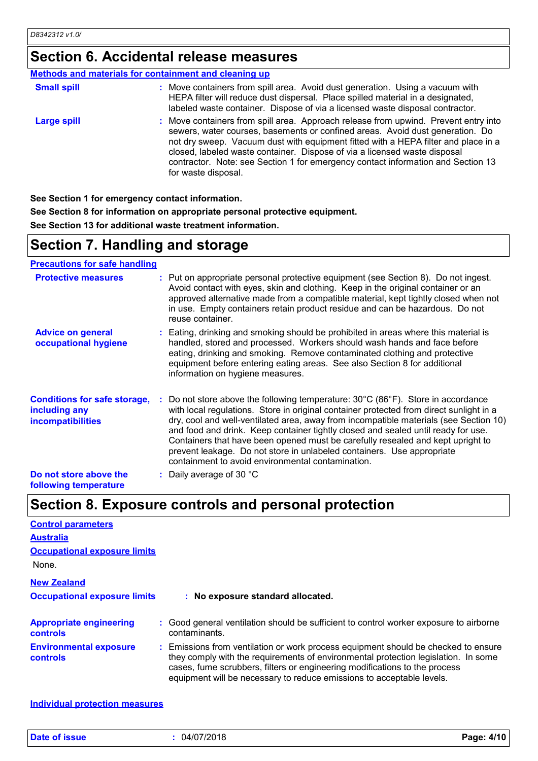### **Section 6. Accidental release measures**

#### **Methods and materials for containment and cleaning up**

| <b>Small spill</b> | : Move containers from spill area. Avoid dust generation. Using a vacuum with<br>HEPA filter will reduce dust dispersal. Place spilled material in a designated,<br>labeled waste container. Dispose of via a licensed waste disposal contractor.                                                                                                                                                                                                  |
|--------------------|----------------------------------------------------------------------------------------------------------------------------------------------------------------------------------------------------------------------------------------------------------------------------------------------------------------------------------------------------------------------------------------------------------------------------------------------------|
| <b>Large spill</b> | : Move containers from spill area. Approach release from upwind. Prevent entry into<br>sewers, water courses, basements or confined areas. Avoid dust generation. Do<br>not dry sweep. Vacuum dust with equipment fitted with a HEPA filter and place in a<br>closed, labeled waste container. Dispose of via a licensed waste disposal<br>contractor. Note: see Section 1 for emergency contact information and Section 13<br>for waste disposal. |

**See Section 1 for emergency contact information.**

**See Section 8 for information on appropriate personal protective equipment.**

**See Section 13 for additional waste treatment information.**

### **Section 7. Handling and storage**

**Precautions for safe handling**

| <b>Protective measures</b>                                                       | : Put on appropriate personal protective equipment (see Section 8). Do not ingest.<br>Avoid contact with eyes, skin and clothing. Keep in the original container or an<br>approved alternative made from a compatible material, kept tightly closed when not<br>in use. Empty containers retain product residue and can be hazardous. Do not<br>reuse container.                                                                                                                                                                                                                                 |
|----------------------------------------------------------------------------------|--------------------------------------------------------------------------------------------------------------------------------------------------------------------------------------------------------------------------------------------------------------------------------------------------------------------------------------------------------------------------------------------------------------------------------------------------------------------------------------------------------------------------------------------------------------------------------------------------|
| <b>Advice on general</b><br>occupational hygiene                                 | : Eating, drinking and smoking should be prohibited in areas where this material is<br>handled, stored and processed. Workers should wash hands and face before<br>eating, drinking and smoking. Remove contaminated clothing and protective<br>equipment before entering eating areas. See also Section 8 for additional<br>information on hygiene measures.                                                                                                                                                                                                                                    |
| <b>Conditions for safe storage,</b><br>including any<br><i>incompatibilities</i> | : Do not store above the following temperature: $30^{\circ}$ C (86 $^{\circ}$ F). Store in accordance<br>with local regulations. Store in original container protected from direct sunlight in a<br>dry, cool and well-ventilated area, away from incompatible materials (see Section 10)<br>and food and drink. Keep container tightly closed and sealed until ready for use.<br>Containers that have been opened must be carefully resealed and kept upright to<br>prevent leakage. Do not store in unlabeled containers. Use appropriate<br>containment to avoid environmental contamination. |
| Do not store above the<br>following temperature                                  | : Daily average of 30 °C                                                                                                                                                                                                                                                                                                                                                                                                                                                                                                                                                                         |

### **Section 8. Exposure controls and personal protection**

| <b>Control parameters</b>                         |                                                                                                                                                                                                                                                                                                                                 |
|---------------------------------------------------|---------------------------------------------------------------------------------------------------------------------------------------------------------------------------------------------------------------------------------------------------------------------------------------------------------------------------------|
| <b>Australia</b>                                  |                                                                                                                                                                                                                                                                                                                                 |
| <b>Occupational exposure limits</b>               |                                                                                                                                                                                                                                                                                                                                 |
| None.                                             |                                                                                                                                                                                                                                                                                                                                 |
| <b>New Zealand</b>                                |                                                                                                                                                                                                                                                                                                                                 |
| <b>Occupational exposure limits</b>               | : No exposure standard allocated.                                                                                                                                                                                                                                                                                               |
| <b>Appropriate engineering</b><br><b>controls</b> | : Good general ventilation should be sufficient to control worker exposure to airborne<br>contaminants.                                                                                                                                                                                                                         |
| <b>Environmental exposure</b><br>controls         | : Emissions from ventilation or work process equipment should be checked to ensure<br>they comply with the requirements of environmental protection legislation. In some<br>cases, fume scrubbers, filters or engineering modifications to the process<br>equipment will be necessary to reduce emissions to acceptable levels. |

**Individual protection measures**

**Date of issue :** 04/07/2018 **Page: 4/10**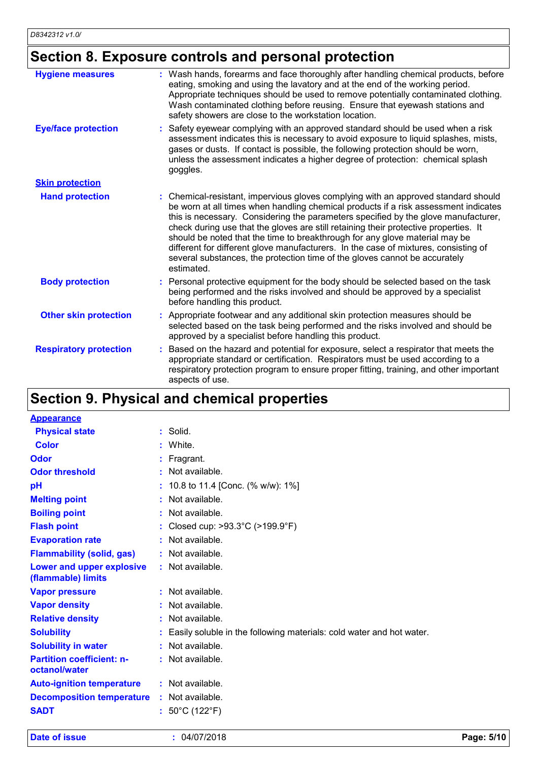### **Section 8. Exposure controls and personal protection**

| <b>Hygiene measures</b>       | : Wash hands, forearms and face thoroughly after handling chemical products, before<br>eating, smoking and using the lavatory and at the end of the working period.<br>Appropriate techniques should be used to remove potentially contaminated clothing.<br>Wash contaminated clothing before reusing. Ensure that eyewash stations and<br>safety showers are close to the workstation location.                                                                                                                                                                                                                         |
|-------------------------------|---------------------------------------------------------------------------------------------------------------------------------------------------------------------------------------------------------------------------------------------------------------------------------------------------------------------------------------------------------------------------------------------------------------------------------------------------------------------------------------------------------------------------------------------------------------------------------------------------------------------------|
| <b>Eye/face protection</b>    | Safety eyewear complying with an approved standard should be used when a risk<br>assessment indicates this is necessary to avoid exposure to liquid splashes, mists,<br>gases or dusts. If contact is possible, the following protection should be worn,<br>unless the assessment indicates a higher degree of protection: chemical splash<br>goggles.                                                                                                                                                                                                                                                                    |
| <b>Skin protection</b>        |                                                                                                                                                                                                                                                                                                                                                                                                                                                                                                                                                                                                                           |
| <b>Hand protection</b>        | : Chemical-resistant, impervious gloves complying with an approved standard should<br>be worn at all times when handling chemical products if a risk assessment indicates<br>this is necessary. Considering the parameters specified by the glove manufacturer,<br>check during use that the gloves are still retaining their protective properties. It<br>should be noted that the time to breakthrough for any glove material may be<br>different for different glove manufacturers. In the case of mixtures, consisting of<br>several substances, the protection time of the gloves cannot be accurately<br>estimated. |
| <b>Body protection</b>        | : Personal protective equipment for the body should be selected based on the task<br>being performed and the risks involved and should be approved by a specialist<br>before handling this product.                                                                                                                                                                                                                                                                                                                                                                                                                       |
| <b>Other skin protection</b>  | Appropriate footwear and any additional skin protection measures should be<br>selected based on the task being performed and the risks involved and should be<br>approved by a specialist before handling this product.                                                                                                                                                                                                                                                                                                                                                                                                   |
| <b>Respiratory protection</b> | Based on the hazard and potential for exposure, select a respirator that meets the<br>appropriate standard or certification. Respirators must be used according to a<br>respiratory protection program to ensure proper fitting, training, and other important<br>aspects of use.                                                                                                                                                                                                                                                                                                                                         |

### **Section 9. Physical and chemical properties**

| <b>Appearance</b>                                      |    |                                                                      |
|--------------------------------------------------------|----|----------------------------------------------------------------------|
| <b>Physical state</b>                                  |    | $:$ Solid.                                                           |
| <b>Color</b>                                           |    | White.                                                               |
| Odor                                                   |    | Fragrant.                                                            |
| <b>Odor threshold</b>                                  | ٠  | Not available.                                                       |
| pH                                                     | ÷. | 10.8 to 11.4 [Conc. (% w/w): 1%]                                     |
| <b>Melting point</b>                                   | ÷  | Not available.                                                       |
| <b>Boiling point</b>                                   |    | : Not available.                                                     |
| <b>Flash point</b>                                     | t. | Closed cup: >93.3°C (>199.9°F)                                       |
| <b>Evaporation rate</b>                                |    | : Not available.                                                     |
| <b>Flammability (solid, gas)</b>                       |    | : Not available.                                                     |
| <b>Lower and upper explosive</b><br>(flammable) limits |    | : Not available.                                                     |
| <b>Vapor pressure</b>                                  |    | : Not available.                                                     |
| <b>Vapor density</b>                                   |    | : Not available.                                                     |
| <b>Relative density</b>                                |    | $:$ Not available.                                                   |
| <b>Solubility</b>                                      |    | Easily soluble in the following materials: cold water and hot water. |
| <b>Solubility in water</b>                             |    | : Not available.                                                     |
| <b>Partition coefficient: n-</b><br>octanol/water      |    | : Not available.                                                     |
| <b>Auto-ignition temperature</b>                       |    | : Not available.                                                     |
| <b>Decomposition temperature</b>                       |    | : Not available.                                                     |
| <b>SADT</b>                                            |    | : $50^{\circ}$ C (122 $^{\circ}$ F)                                  |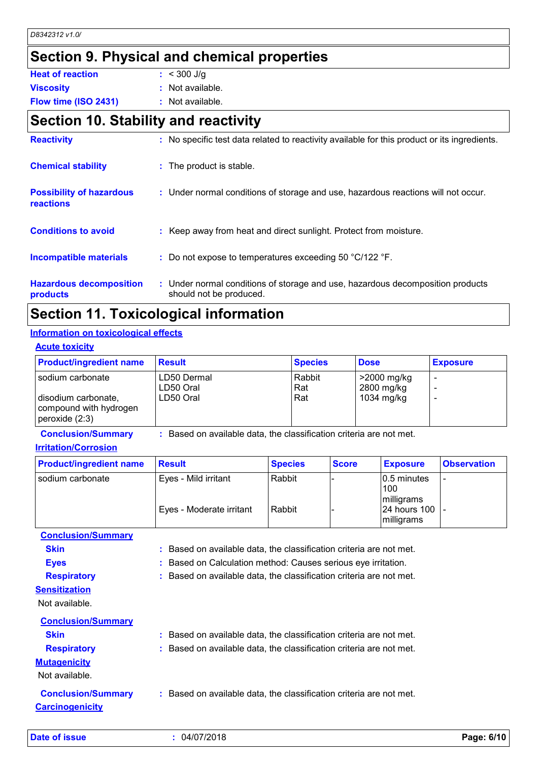## **Section 9. Physical and chemical properties**

| <b>Heat of reaction</b> | $: 300$ J/g        |
|-------------------------|--------------------|
| <b>Viscosity</b>        | $:$ Not available. |
| Flow time (ISO 2431)    | : Not available.   |

### **Section 10. Stability and reactivity**

| <b>Reactivity</b>                            | : No specific test data related to reactivity available for this product or its ingredients.              |
|----------------------------------------------|-----------------------------------------------------------------------------------------------------------|
| <b>Chemical stability</b>                    | : The product is stable.                                                                                  |
| <b>Possibility of hazardous</b><br>reactions | : Under normal conditions of storage and use, hazardous reactions will not occur.                         |
| <b>Conditions to avoid</b>                   | : Keep away from heat and direct sunlight. Protect from moisture.                                         |
| <b>Incompatible materials</b>                | : Do not expose to temperatures exceeding 50 $^{\circ}$ C/122 $^{\circ}$ F.                               |
| <b>Hazardous decomposition</b><br>products   | : Under normal conditions of storage and use, hazardous decomposition products<br>should not be produced. |

### **Section 11. Toxicological information**

#### **Acute toxicity Information on toxicological effects**

| <b>ACULE LOXICITY</b>                                                               |                                       |                      |                                         |                 |
|-------------------------------------------------------------------------------------|---------------------------------------|----------------------|-----------------------------------------|-----------------|
| <b>Product/ingredient name</b>                                                      | <b>Result</b>                         | <b>Species</b>       | <b>Dose</b>                             | <b>Exposure</b> |
| sodium carbonate<br>disodium carbonate,<br>compound with hydrogen<br>peroxide (2:3) | LD50 Dermal<br>LD50 Oral<br>LD50 Oral | Rabbit<br>Rat<br>Rat | >2000 mg/kg<br>2800 mg/kg<br>1034 mg/kg |                 |

**Conclusion/Summary :** Based on available data, the classification criteria are not met.

### **Irritation/Corrosion**

| <b>Product/ingredient name</b> | <b>∣Result</b>           | <b>Species</b> | <b>Score</b> | <b>Exposure</b>                          | <b>Observation</b> |
|--------------------------------|--------------------------|----------------|--------------|------------------------------------------|--------------------|
| I sodium carbonate             | Eyes - Mild irritant     | Rabbit         |              | $ 0.5$ minutes<br>100                    |                    |
|                                | Eyes - Moderate irritant | Rabbit         |              | milligrams<br>24 hours 100<br>milligrams |                    |

**Conclusion/Summary**

| <b>Skin</b><br><b>Eyes</b><br><b>Respiratory</b>               | : Based on available data, the classification criteria are not met.<br>: Based on Calculation method: Causes serious eye irritation.<br>: Based on available data, the classification criteria are not met. |
|----------------------------------------------------------------|-------------------------------------------------------------------------------------------------------------------------------------------------------------------------------------------------------------|
| <b>Sensitization</b>                                           |                                                                                                                                                                                                             |
| Not available.                                                 |                                                                                                                                                                                                             |
| <b>Conclusion/Summary</b><br><b>Skin</b><br><b>Respiratory</b> | : Based on available data, the classification criteria are not met.<br>: Based on available data, the classification criteria are not met.                                                                  |
| <b>Mutagenicity</b><br>Not available.                          |                                                                                                                                                                                                             |
| <b>Conclusion/Summary</b><br><b>Carcinogenicity</b>            | : Based on available data, the classification criteria are not met.                                                                                                                                         |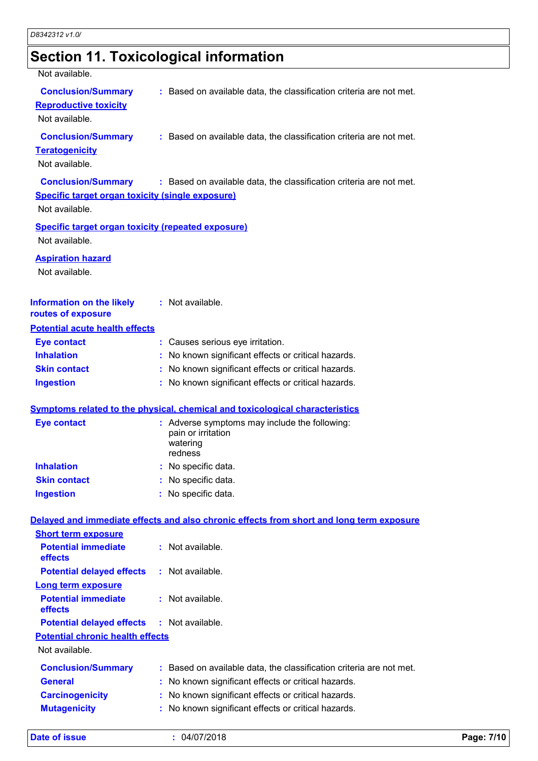# **Section 11. Toxicological information**

| Not available.                                                                                         |                                                                                            |
|--------------------------------------------------------------------------------------------------------|--------------------------------------------------------------------------------------------|
| <b>Conclusion/Summary</b><br><b>Reproductive toxicity</b><br>Not available.                            | : Based on available data, the classification criteria are not met.                        |
| <b>Conclusion/Summary</b><br><b>Teratogenicity</b><br>Not available.                                   | : Based on available data, the classification criteria are not met.                        |
| <b>Conclusion/Summary</b><br><b>Specific target organ toxicity (single exposure)</b><br>Not available. | : Based on available data, the classification criteria are not met.                        |
| <b>Specific target organ toxicity (repeated exposure)</b><br>Not available.                            |                                                                                            |
| <b>Aspiration hazard</b><br>Not available.                                                             |                                                                                            |
| <b>Information on the likely</b><br>routes of exposure                                                 | : Not available.                                                                           |
| <b>Potential acute health effects</b>                                                                  |                                                                                            |
| <b>Eye contact</b>                                                                                     | : Causes serious eye irritation.                                                           |
| <b>Inhalation</b>                                                                                      | No known significant effects or critical hazards.                                          |
| <b>Skin contact</b>                                                                                    | No known significant effects or critical hazards.                                          |
| <b>Ingestion</b>                                                                                       | : No known significant effects or critical hazards.                                        |
|                                                                                                        | <b>Symptoms related to the physical, chemical and toxicological characteristics</b>        |
| <b>Eye contact</b>                                                                                     | : Adverse symptoms may include the following:<br>pain or irritation<br>watering<br>redness |
| <b>Inhalation</b>                                                                                      | : No specific data.                                                                        |
| <b>Skin contact</b>                                                                                    | No specific data.                                                                          |
| <b>Ingestion</b>                                                                                       | : No specific data.                                                                        |
|                                                                                                        | Delayed and immediate effects and also chronic effects from short and long term exposure   |
| <b>Short term exposure</b>                                                                             |                                                                                            |
| <b>Potential immediate</b><br>effects                                                                  | : Not available.                                                                           |
| <b>Potential delayed effects</b>                                                                       | : Not available.                                                                           |
| <b>Long term exposure</b>                                                                              |                                                                                            |
| <b>Potential immediate</b><br>effects                                                                  | : Not available.                                                                           |
| <b>Potential delayed effects</b>                                                                       | : Not available.                                                                           |
| <b>Potential chronic health effects</b>                                                                |                                                                                            |
| Not available.                                                                                         |                                                                                            |
|                                                                                                        |                                                                                            |

| <b>Conclusion/Summary</b> | : Based on available data, the classification criteria are not met. |
|---------------------------|---------------------------------------------------------------------|
| <b>General</b>            | : No known significant effects or critical hazards.                 |
| <b>Carcinogenicity</b>    | : No known significant effects or critical hazards.                 |
| <b>Mutagenicity</b>       | : No known significant effects or critical hazards.                 |

**Date of issue :** 04/07/2018 **Page: 7/10**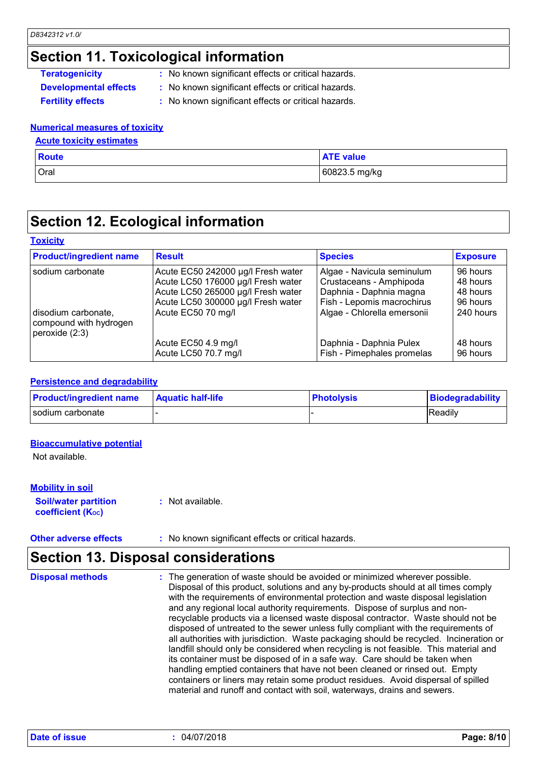### **Section 11. Toxicological information**

|  | Teratogenicity |                              |
|--|----------------|------------------------------|
|  |                | <b>Developmental effects</b> |
|  |                |                              |

- **:** No known significant effects or critical hazards.
- **S EXECT:** No known significant effects or critical hazards.
- 
- **Fertility effects :** No known significant effects or critical hazards.

#### **Numerical measures of toxicity**

#### **Acute toxicity estimates**

| <b>Route</b> | <b>ATE value</b> |
|--------------|------------------|
| Oral         | 60823.5 mg/kg    |

### **Section 12. Ecological information**

#### **Toxicity**

| <b>Product/ingredient name</b>                                    | <b>Result</b>                                                                                                                                                              | <b>Species</b>                                                                                                                                | <b>Exposure</b>                                           |
|-------------------------------------------------------------------|----------------------------------------------------------------------------------------------------------------------------------------------------------------------------|-----------------------------------------------------------------------------------------------------------------------------------------------|-----------------------------------------------------------|
| sodium carbonate<br>disodium carbonate,<br>compound with hydrogen | Acute EC50 242000 µg/l Fresh water<br>Acute LC50 176000 µg/l Fresh water<br>Acute LC50 265000 µg/l Fresh water<br>Acute LC50 300000 µg/l Fresh water<br>Acute EC50 70 mg/l | Algae - Navicula seminulum<br>Crustaceans - Amphipoda<br>Daphnia - Daphnia magna<br>Fish - Lepomis macrochirus<br>Algae - Chlorella emersonii | 96 hours<br>48 hours<br>48 hours<br>96 hours<br>240 hours |
| peroxide $(2:3)$                                                  | Acute EC50 4.9 mg/l<br>Acute LC50 70.7 mg/l                                                                                                                                | Daphnia - Daphnia Pulex<br>Fish - Pimephales promelas                                                                                         | 48 hours<br>96 hours                                      |

#### **Persistence and degradability**

| <b>Product/ingredient name</b> | <b>Aquatic half-life</b> | <b>Photolysis</b> | Biodegradability |
|--------------------------------|--------------------------|-------------------|------------------|
| I sodium carbonate             |                          |                   | Readily          |

#### **Bioaccumulative potential**

Not available.

#### **Mobility in soil**

#### **Soil/water partition coefficient (Koc)**

**Other adverse effects** : No known significant effects or critical hazards.

**:** Not available.

### **Section 13. Disposal considerations**

The generation of waste should be avoided or minimized wherever possible. Disposal of this product, solutions and any by-products should at all times comply with the requirements of environmental protection and waste disposal legislation and any regional local authority requirements. Dispose of surplus and nonrecyclable products via a licensed waste disposal contractor. Waste should not be disposed of untreated to the sewer unless fully compliant with the requirements of all authorities with jurisdiction. Waste packaging should be recycled. Incineration or landfill should only be considered when recycling is not feasible. This material and its container must be disposed of in a safe way. Care should be taken when handling emptied containers that have not been cleaned or rinsed out. Empty containers or liners may retain some product residues. Avoid dispersal of spilled material and runoff and contact with soil, waterways, drains and sewers. **Disposal methods :**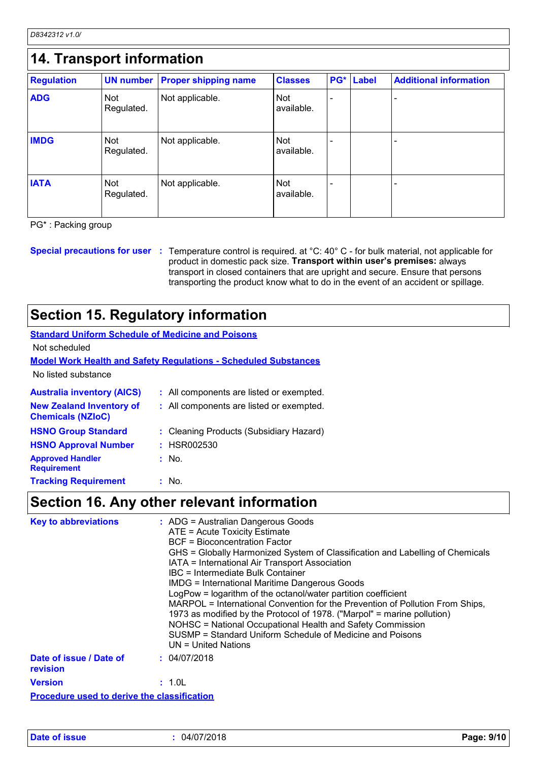*D8342312 v1.0/*

| <b>Regulation</b> |                   | UN number Proper shipping name | <b>Classes</b>           | PG* | <b>Label</b> | <b>Additional information</b> |
|-------------------|-------------------|--------------------------------|--------------------------|-----|--------------|-------------------------------|
| <b>ADG</b>        | Not<br>Regulated. | Not applicable.                | <b>Not</b><br>available. |     |              |                               |
| <b>IMDG</b>       | Not<br>Regulated. | Not applicable.                | Not<br>available.        |     |              |                               |
| <b>IATA</b>       | Not<br>Regulated. | Not applicable.                | Not<br>available.        |     |              |                               |

PG\* : Packing group

**Special precautions for user** : Temperature control is required. at °C: 40° C - for bulk material, not applicable for product in domestic pack size. **Transport within user's premises:** always transport in closed containers that are upright and secure. Ensure that persons transporting the product know what to do in the event of an accident or spillage.

### **Section 15. Regulatory information**

| <b>Standard Uniform Schedule of Medicine and Poisons</b>    |                                                                        |
|-------------------------------------------------------------|------------------------------------------------------------------------|
| Not scheduled                                               |                                                                        |
|                                                             | <b>Model Work Health and Safety Regulations - Scheduled Substances</b> |
| No listed substance                                         |                                                                        |
| <b>Australia inventory (AICS)</b>                           | : All components are listed or exempted.                               |
| <b>New Zealand Inventory of</b><br><b>Chemicals (NZIoC)</b> | : All components are listed or exempted.                               |
| <b>HSNO Group Standard</b>                                  | : Cleaning Products (Subsidiary Hazard)                                |
| <b>HSNO Approval Number</b>                                 | : HSR002530                                                            |
| <b>Approved Handler</b><br><b>Requirement</b>               | : No.                                                                  |
| <b>Tracking Requirement</b>                                 | $:$ No.                                                                |
|                                                             |                                                                        |

### **Section 16. Any other relevant information**

| <b>Key to abbreviations</b>                        | : ADG = Australian Dangerous Goods<br>ATE = Acute Toxicity Estimate<br><b>BCF</b> = Bioconcentration Factor<br>GHS = Globally Harmonized System of Classification and Labelling of Chemicals<br>IATA = International Air Transport Association<br>IBC = Intermediate Bulk Container<br><b>IMDG = International Maritime Dangerous Goods</b><br>LogPow = logarithm of the octanol/water partition coefficient<br>MARPOL = International Convention for the Prevention of Pollution From Ships,<br>1973 as modified by the Protocol of 1978. ("Marpol" = marine pollution)<br>NOHSC = National Occupational Health and Safety Commission<br>SUSMP = Standard Uniform Schedule of Medicine and Poisons<br>UN = United Nations |
|----------------------------------------------------|----------------------------------------------------------------------------------------------------------------------------------------------------------------------------------------------------------------------------------------------------------------------------------------------------------------------------------------------------------------------------------------------------------------------------------------------------------------------------------------------------------------------------------------------------------------------------------------------------------------------------------------------------------------------------------------------------------------------------|
| Date of issue / Date of<br>revision                | : 04/07/2018                                                                                                                                                                                                                                                                                                                                                                                                                                                                                                                                                                                                                                                                                                               |
| <b>Version</b>                                     | : 1.0L                                                                                                                                                                                                                                                                                                                                                                                                                                                                                                                                                                                                                                                                                                                     |
| <b>Procedure used to derive the classification</b> |                                                                                                                                                                                                                                                                                                                                                                                                                                                                                                                                                                                                                                                                                                                            |